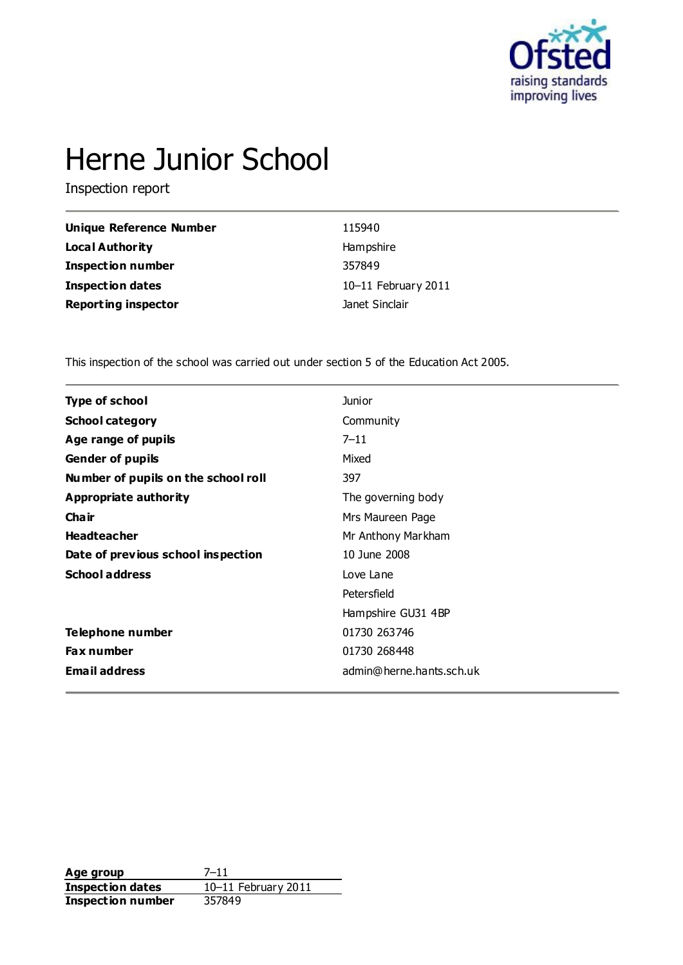

# Herne Junior School

Inspection report

| Unique Reference Number    | 115940              |
|----------------------------|---------------------|
| <b>Local Authority</b>     | Hampshire           |
| <b>Inspection number</b>   | 357849              |
| Inspection dates           | 10-11 February 2011 |
| <b>Reporting inspector</b> | Janet Sinclair      |

This inspection of the school was carried out under section 5 of the Education Act 2005.

| <b>Junior</b>            |
|--------------------------|
| Community                |
| $7 - 11$                 |
| Mixed                    |
| 397                      |
| The governing body       |
| Mrs Maureen Page         |
| Mr Anthony Markham       |
| 10 June 2008             |
| Love Lane                |
| Petersfield              |
| Hampshire GU31 4BP       |
| 01730 263746             |
| 01730 268448             |
| admin@herne.hants.sch.uk |
|                          |

**Age group** 7-11<br> **Inspection dates** 10-11 February 2011 **Inspection dates** 10–11 February 2011 **Inspection number** 357849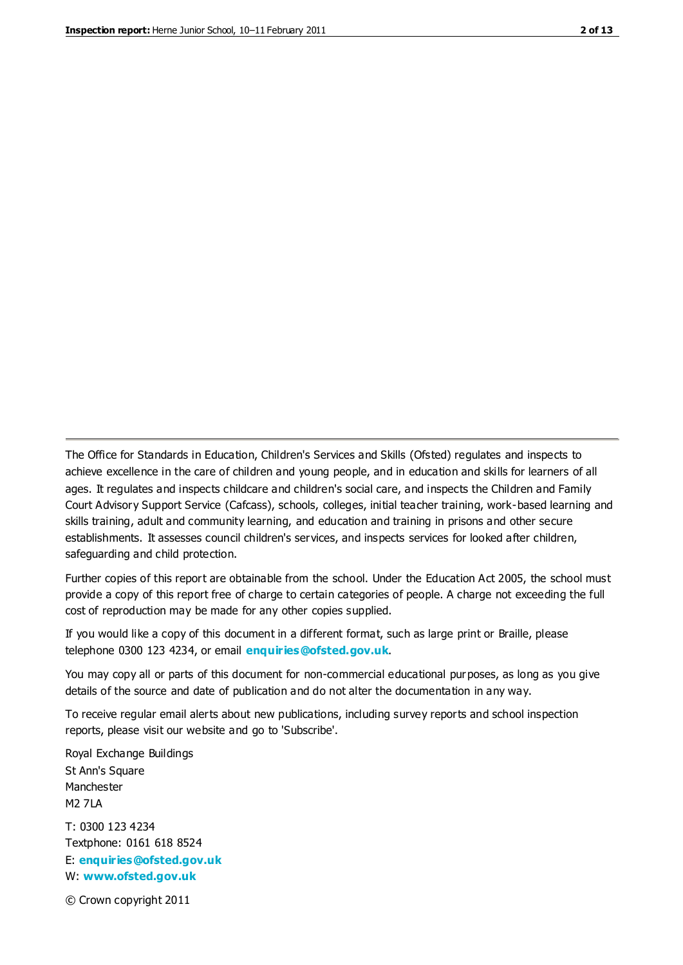The Office for Standards in Education, Children's Services and Skills (Ofsted) regulates and inspects to achieve excellence in the care of children and young people, and in education and skills for learners of all ages. It regulates and inspects childcare and children's social care, and inspects the Children and Family Court Advisory Support Service (Cafcass), schools, colleges, initial teacher training, work-based learning and skills training, adult and community learning, and education and training in prisons and other secure establishments. It assesses council children's services, and inspects services for looked after children, safeguarding and child protection.

Further copies of this report are obtainable from the school. Under the Education Act 2005, the school must provide a copy of this report free of charge to certain categories of people. A charge not exceeding the full cost of reproduction may be made for any other copies supplied.

If you would like a copy of this document in a different format, such as large print or Braille, please telephone 0300 123 4234, or email **[enquiries@ofsted.gov.uk](mailto:enquiries@ofsted.gov.uk)**.

You may copy all or parts of this document for non-commercial educational purposes, as long as you give details of the source and date of publication and do not alter the documentation in any way.

To receive regular email alerts about new publications, including survey reports and school inspection reports, please visit our website and go to 'Subscribe'.

Royal Exchange Buildings St Ann's Square Manchester M2 7LA T: 0300 123 4234 Textphone: 0161 618 8524 E: **[enquiries@ofsted.gov.uk](mailto:enquiries@ofsted.gov.uk)**

W: **[www.ofsted.gov.uk](http://www.ofsted.gov.uk/)**

© Crown copyright 2011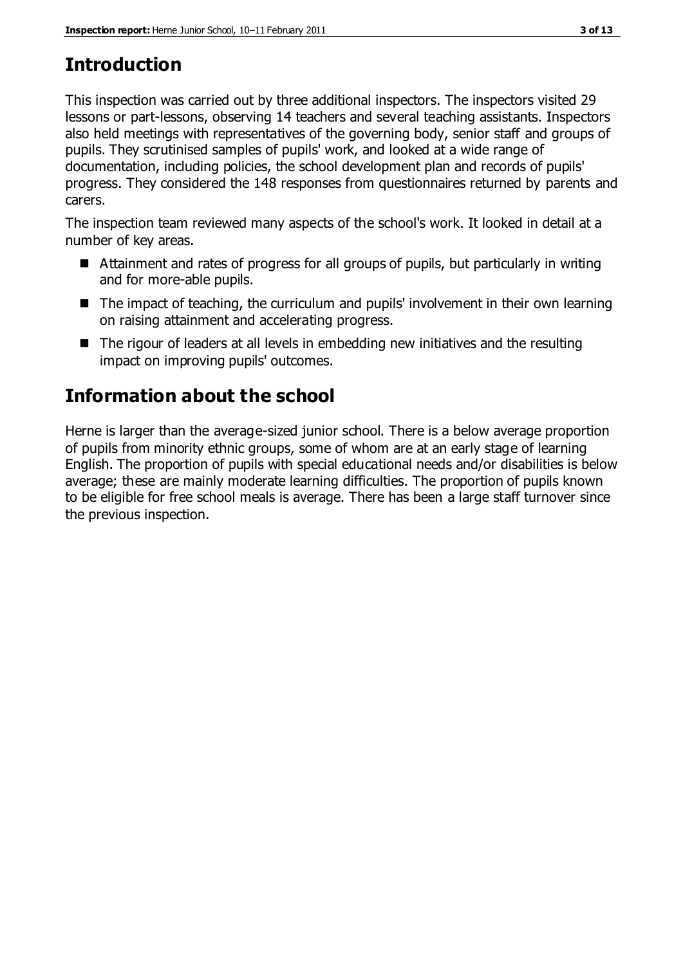## **Introduction**

This inspection was carried out by three additional inspectors. The inspectors visited 29 lessons or part-lessons, observing 14 teachers and several teaching assistants. Inspectors also held meetings with representatives of the governing body, senior staff and groups of pupils. They scrutinised samples of pupils' work, and looked at a wide range of documentation, including policies, the school development plan and records of pupils' progress. They considered the 148 responses from questionnaires returned by parents and carers.

The inspection team reviewed many aspects of the school's work. It looked in detail at a number of key areas.

- Attainment and rates of progress for all groups of pupils, but particularly in writing and for more-able pupils.
- The impact of teaching, the curriculum and pupils' involvement in their own learning on raising attainment and accelerating progress.
- The rigour of leaders at all levels in embedding new initiatives and the resulting impact on improving pupils' outcomes.

# **Information about the school**

Herne is larger than the average-sized junior school. There is a below average proportion of pupils from minority ethnic groups, some of whom are at an early stage of learning English. The proportion of pupils with special educational needs and/or disabilities is below average; these are mainly moderate learning difficulties. The proportion of pupils known to be eligible for free school meals is average. There has been a large staff turnover since the previous inspection.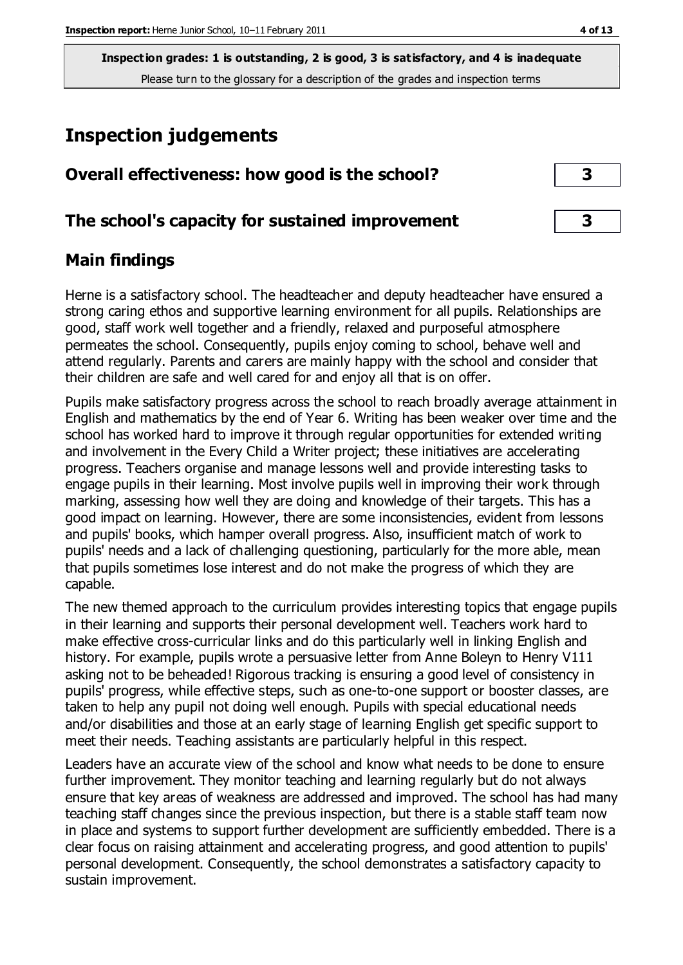### **Inspection judgements**

| Overall effectiveness: how good is the school?  |  |
|-------------------------------------------------|--|
| The school's capacity for sustained improvement |  |

### **Main findings**

Herne is a satisfactory school. The headteacher and deputy headteacher have ensured a strong caring ethos and supportive learning environment for all pupils. Relationships are good, staff work well together and a friendly, relaxed and purposeful atmosphere permeates the school. Consequently, pupils enjoy coming to school, behave well and attend regularly. Parents and carers are mainly happy with the school and consider that their children are safe and well cared for and enjoy all that is on offer.

Pupils make satisfactory progress across the school to reach broadly average attainment in English and mathematics by the end of Year 6. Writing has been weaker over time and the school has worked hard to improve it through regular opportunities for extended writing and involvement in the Every Child a Writer project; these initiatives are accelerating progress. Teachers organise and manage lessons well and provide interesting tasks to engage pupils in their learning. Most involve pupils well in improving their work through marking, assessing how well they are doing and knowledge of their targets. This has a good impact on learning. However, there are some inconsistencies, evident from lessons and pupils' books, which hamper overall progress. Also, insufficient match of work to pupils' needs and a lack of challenging questioning, particularly for the more able, mean that pupils sometimes lose interest and do not make the progress of which they are capable.

The new themed approach to the curriculum provides interesting topics that engage pupils in their learning and supports their personal development well. Teachers work hard to make effective cross-curricular links and do this particularly well in linking English and history. For example, pupils wrote a persuasive letter from Anne Boleyn to Henry V111 asking not to be beheaded! Rigorous tracking is ensuring a good level of consistency in pupils' progress, while effective steps, such as one-to-one support or booster classes, are taken to help any pupil not doing well enough. Pupils with special educational needs and/or disabilities and those at an early stage of learning English get specific support to meet their needs. Teaching assistants are particularly helpful in this respect.

Leaders have an accurate view of the school and know what needs to be done to ensure further improvement. They monitor teaching and learning regularly but do not always ensure that key areas of weakness are addressed and improved. The school has had many teaching staff changes since the previous inspection, but there is a stable staff team now in place and systems to support further development are sufficiently embedded. There is a clear focus on raising attainment and accelerating progress, and good attention to pupils' personal development. Consequently, the school demonstrates a satisfactory capacity to sustain improvement.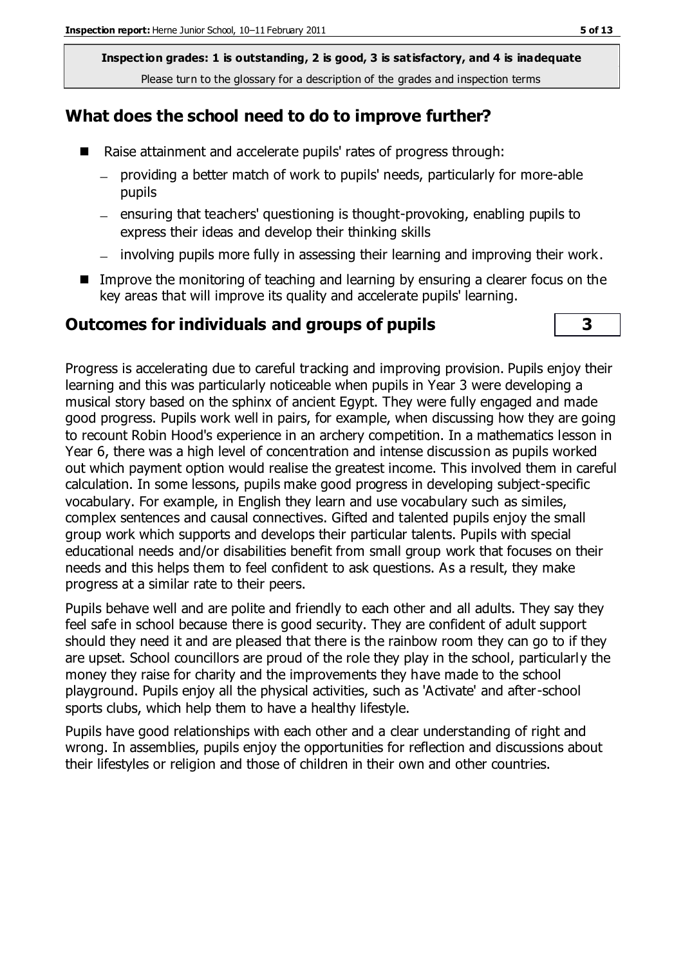#### **What does the school need to do to improve further?**

- Raise attainment and accelerate pupils' rates of progress through:
	- providing a better match of work to pupils' needs, particularly for more-able  $$ pupils
	- ensuring that teachers' questioning is thought-provoking, enabling pupils to express their ideas and develop their thinking skills
	- involving pupils more fully in assessing their learning and improving their work.
- Improve the monitoring of teaching and learning by ensuring a clearer focus on the key areas that will improve its quality and accelerate pupils' learning.

#### **Outcomes for individuals and groups of pupils 3**



Progress is accelerating due to careful tracking and improving provision. Pupils enjoy their learning and this was particularly noticeable when pupils in Year 3 were developing a musical story based on the sphinx of ancient Egypt. They were fully engaged and made good progress. Pupils work well in pairs, for example, when discussing how they are going to recount Robin Hood's experience in an archery competition. In a mathematics lesson in Year 6, there was a high level of concentration and intense discussion as pupils worked out which payment option would realise the greatest income. This involved them in careful calculation. In some lessons, pupils make good progress in developing subject-specific vocabulary. For example, in English they learn and use vocabulary such as similes, complex sentences and causal connectives. Gifted and talented pupils enjoy the small group work which supports and develops their particular talents. Pupils with special educational needs and/or disabilities benefit from small group work that focuses on their needs and this helps them to feel confident to ask questions. As a result, they make progress at a similar rate to their peers.

Pupils behave well and are polite and friendly to each other and all adults. They say they feel safe in school because there is good security. They are confident of adult support should they need it and are pleased that there is the rainbow room they can go to if they are upset. School councillors are proud of the role they play in the school, particularly the money they raise for charity and the improvements they have made to the school playground. Pupils enjoy all the physical activities, such as 'Activate' and after-school sports clubs, which help them to have a healthy lifestyle.

Pupils have good relationships with each other and a clear understanding of right and wrong. In assemblies, pupils enjoy the opportunities for reflection and discussions about their lifestyles or religion and those of children in their own and other countries.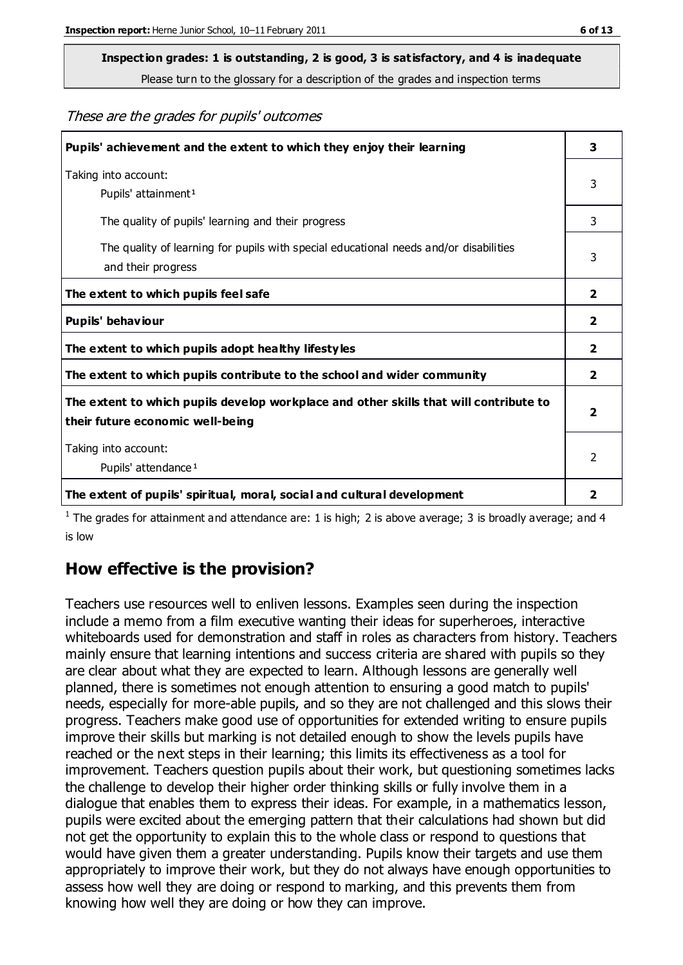# **Inspection grades: 1 is outstanding, 2 is good, 3 is satisfactory, and 4 is inadequate**

Please turn to the glossary for a description of the grades and inspection terms

These are the grades for pupils' outcomes

| Pupils' achievement and the extent to which they enjoy their learning                                                     | 3                       |
|---------------------------------------------------------------------------------------------------------------------------|-------------------------|
| Taking into account:<br>Pupils' attainment <sup>1</sup>                                                                   | 3                       |
| The quality of pupils' learning and their progress                                                                        | 3                       |
| The quality of learning for pupils with special educational needs and/or disabilities<br>and their progress               | 3                       |
| The extent to which pupils feel safe                                                                                      | 2                       |
| Pupils' behaviour                                                                                                         | 2                       |
| The extent to which pupils adopt healthy lifestyles                                                                       | 2                       |
| The extent to which pupils contribute to the school and wider community                                                   | 2                       |
| The extent to which pupils develop workplace and other skills that will contribute to<br>their future economic well-being | $\overline{\mathbf{2}}$ |
| Taking into account:<br>Pupils' attendance <sup>1</sup>                                                                   | $\mathcal{P}$           |
| The extent of pupils' spiritual, moral, social and cultural development                                                   | 2                       |

<sup>1</sup> The grades for attainment and attendance are: 1 is high; 2 is above average; 3 is broadly average; and 4 is low

### **How effective is the provision?**

Teachers use resources well to enliven lessons. Examples seen during the inspection include a memo from a film executive wanting their ideas for superheroes, interactive whiteboards used for demonstration and staff in roles as characters from history. Teachers mainly ensure that learning intentions and success criteria are shared with pupils so they are clear about what they are expected to learn. Although lessons are generally well planned, there is sometimes not enough attention to ensuring a good match to pupils' needs, especially for more-able pupils, and so they are not challenged and this slows their progress. Teachers make good use of opportunities for extended writing to ensure pupils improve their skills but marking is not detailed enough to show the levels pupils have reached or the next steps in their learning; this limits its effectiveness as a tool for improvement. Teachers question pupils about their work, but questioning sometimes lacks the challenge to develop their higher order thinking skills or fully involve them in a dialogue that enables them to express their ideas. For example, in a mathematics lesson, pupils were excited about the emerging pattern that their calculations had shown but did not get the opportunity to explain this to the whole class or respond to questions that would have given them a greater understanding. Pupils know their targets and use them appropriately to improve their work, but they do not always have enough opportunities to assess how well they are doing or respond to marking, and this prevents them from knowing how well they are doing or how they can improve.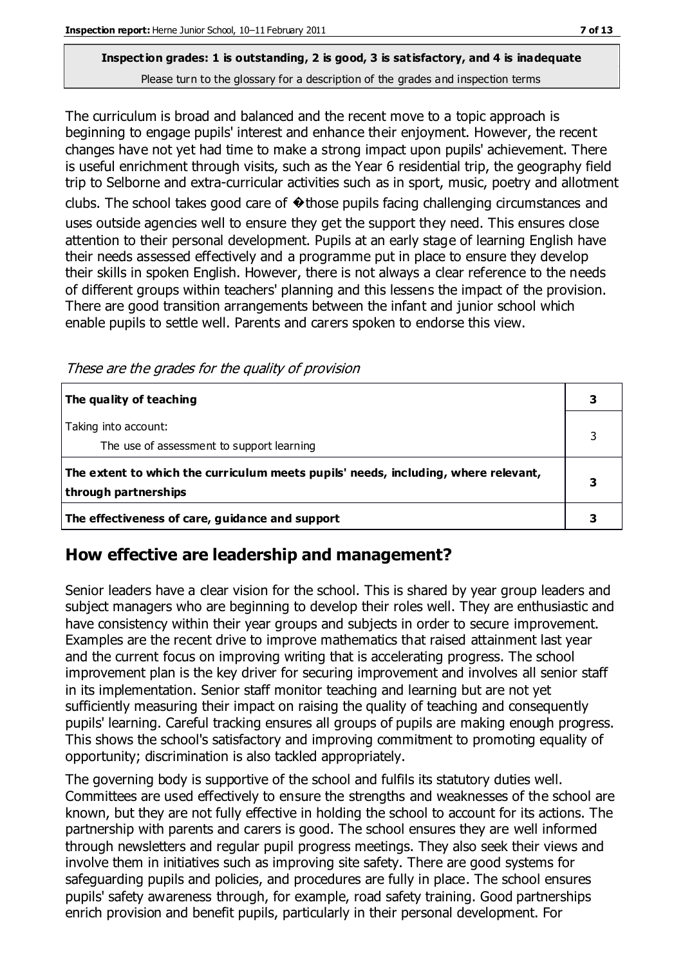The curriculum is broad and balanced and the recent move to a topic approach is beginning to engage pupils' interest and enhance their enjoyment. However, the recent changes have not yet had time to make a strong impact upon pupils' achievement. There is useful enrichment through visits, such as the Year 6 residential trip, the geography field trip to Selborne and extra-curricular activities such as in sport, music, poetry and allotment clubs. The school takes good care of  $\odot$  those pupils facing challenging circumstances and uses outside agencies well to ensure they get the support they need. This ensures close attention to their personal development. Pupils at an early stage of learning English have their needs assessed effectively and a programme put in place to ensure they develop their skills in spoken English. However, there is not always a clear reference to the needs of different groups within teachers' planning and this lessens the impact of the provision. There are good transition arrangements between the infant and junior school which enable pupils to settle well. Parents and carers spoken to endorse this view.

These are the grades for the quality of provision

| The quality of teaching                                                                                    |  |
|------------------------------------------------------------------------------------------------------------|--|
| Taking into account:<br>The use of assessment to support learning                                          |  |
| The extent to which the curriculum meets pupils' needs, including, where relevant,<br>through partnerships |  |
| The effectiveness of care, guidance and support                                                            |  |

### **How effective are leadership and management?**

Senior leaders have a clear vision for the school. This is shared by year group leaders and subject managers who are beginning to develop their roles well. They are enthusiastic and have consistency within their year groups and subjects in order to secure improvement. Examples are the recent drive to improve mathematics that raised attainment last year and the current focus on improving writing that is accelerating progress. The school improvement plan is the key driver for securing improvement and involves all senior staff in its implementation. Senior staff monitor teaching and learning but are not yet sufficiently measuring their impact on raising the quality of teaching and consequently pupils' learning. Careful tracking ensures all groups of pupils are making enough progress. This shows the school's satisfactory and improving commitment to promoting equality of opportunity; discrimination is also tackled appropriately.

The governing body is supportive of the school and fulfils its statutory duties well. Committees are used effectively to ensure the strengths and weaknesses of the school are known, but they are not fully effective in holding the school to account for its actions. The partnership with parents and carers is good. The school ensures they are well informed through newsletters and regular pupil progress meetings. They also seek their views and involve them in initiatives such as improving site safety. There are good systems for safeguarding pupils and policies, and procedures are fully in place. The school ensures pupils' safety awareness through, for example, road safety training. Good partnerships enrich provision and benefit pupils, particularly in their personal development. For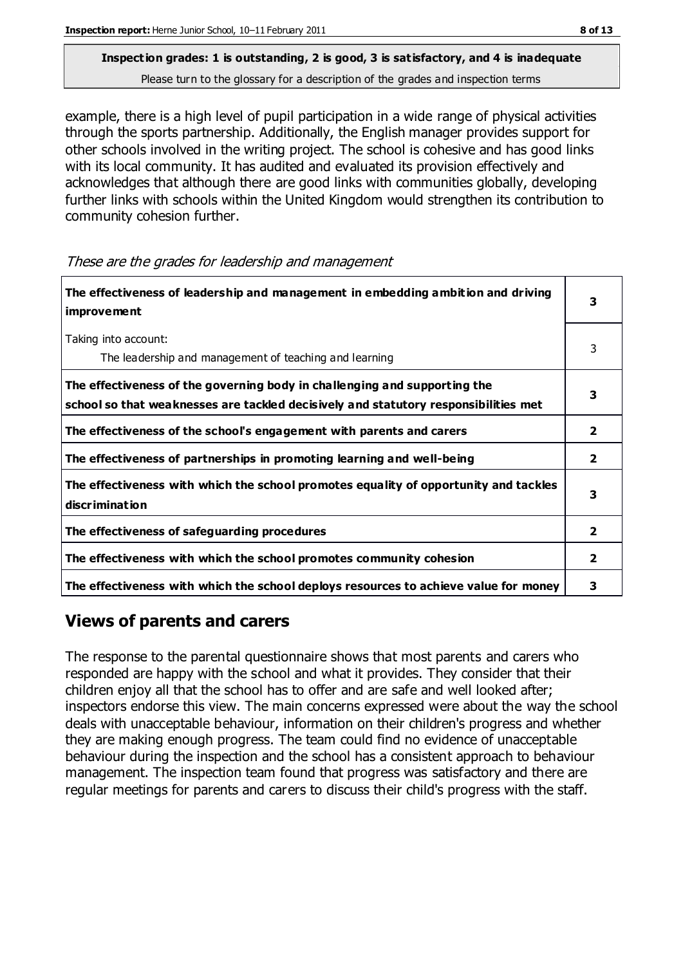example, there is a high level of pupil participation in a wide range of physical activities through the sports partnership. Additionally, the English manager provides support for other schools involved in the writing project. The school is cohesive and has good links with its local community. It has audited and evaluated its provision effectively and acknowledges that although there are good links with communities globally, developing further links with schools within the United Kingdom would strengthen its contribution to community cohesion further.

These are the grades for leadership and management

| The effectiveness of leadership and management in embedding ambition and driving<br><b>improvement</b>                                                           |                         |
|------------------------------------------------------------------------------------------------------------------------------------------------------------------|-------------------------|
| Taking into account:<br>The leadership and management of teaching and learning                                                                                   | 3                       |
| The effectiveness of the governing body in challenging and supporting the<br>school so that weaknesses are tackled decisively and statutory responsibilities met |                         |
| The effectiveness of the school's engagement with parents and carers                                                                                             | 2                       |
| The effectiveness of partnerships in promoting learning and well-being                                                                                           | $\overline{\mathbf{2}}$ |
| The effectiveness with which the school promotes equality of opportunity and tackles<br>discrimination                                                           | 3                       |
| The effectiveness of safeguarding procedures                                                                                                                     | $\overline{2}$          |
| The effectiveness with which the school promotes community cohesion                                                                                              | 2                       |
| The effectiveness with which the school deploys resources to achieve value for money                                                                             | 3                       |

### **Views of parents and carers**

The response to the parental questionnaire shows that most parents and carers who responded are happy with the school and what it provides. They consider that their children enjoy all that the school has to offer and are safe and well looked after; inspectors endorse this view. The main concerns expressed were about the way the school deals with unacceptable behaviour, information on their children's progress and whether they are making enough progress. The team could find no evidence of unacceptable behaviour during the inspection and the school has a consistent approach to behaviour management. The inspection team found that progress was satisfactory and there are regular meetings for parents and carers to discuss their child's progress with the staff.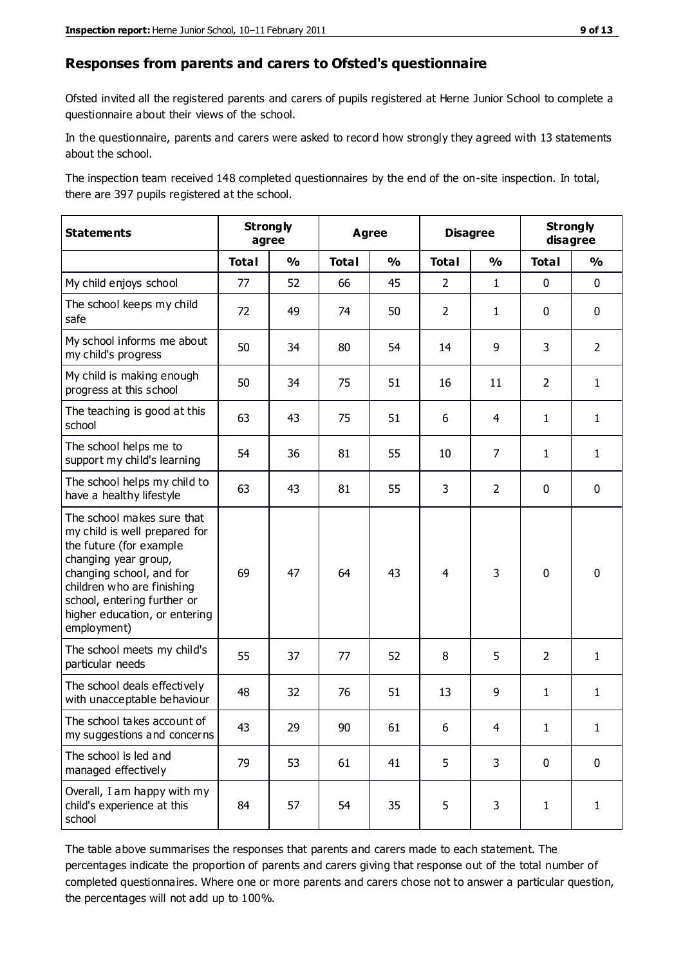#### **Responses from parents and carers to Ofsted's questionnaire**

Ofsted invited all the registered parents and carers of pupils registered at Herne Junior School to complete a questionnaire about their views of the school.

In the questionnaire, parents and carers were asked to record how strongly they agreed with 13 statements about the school.

The inspection team received 148 completed questionnaires by the end of the on-site inspection. In total, there are 397 pupils registered at the school.

| <b>Statements</b>                                                                                                                                                                                                                                       | <b>Strongly</b><br>agree |               | <b>Agree</b> |               |                | <b>Disagree</b> |                | <b>Strongly</b><br>disagree |  |
|---------------------------------------------------------------------------------------------------------------------------------------------------------------------------------------------------------------------------------------------------------|--------------------------|---------------|--------------|---------------|----------------|-----------------|----------------|-----------------------------|--|
|                                                                                                                                                                                                                                                         | <b>Total</b>             | $\frac{1}{2}$ | <b>Total</b> | $\frac{0}{0}$ | <b>Total</b>   | $\frac{1}{2}$   | <b>Total</b>   | $\frac{0}{0}$               |  |
| My child enjoys school                                                                                                                                                                                                                                  | 77                       | 52            | 66           | 45            | $\overline{2}$ | $\mathbf{1}$    | $\mathbf 0$    | $\mathbf 0$                 |  |
| The school keeps my child<br>safe                                                                                                                                                                                                                       | 72                       | 49            | 74           | 50            | $\overline{2}$ | $\mathbf{1}$    | $\mathbf 0$    | $\mathbf 0$                 |  |
| My school informs me about<br>my child's progress                                                                                                                                                                                                       | 50                       | 34            | 80           | 54            | 14             | 9               | 3              | $\overline{2}$              |  |
| My child is making enough<br>progress at this school                                                                                                                                                                                                    | 50                       | 34            | 75           | 51            | 16             | 11              | $\overline{2}$ | $\mathbf{1}$                |  |
| The teaching is good at this<br>school                                                                                                                                                                                                                  | 63                       | 43            | 75           | 51            | 6              | $\overline{4}$  | $\mathbf{1}$   | $\mathbf{1}$                |  |
| The school helps me to<br>support my child's learning                                                                                                                                                                                                   | 54                       | 36            | 81           | 55            | 10             | $\overline{7}$  | $\mathbf{1}$   | $\mathbf{1}$                |  |
| The school helps my child to<br>have a healthy lifestyle                                                                                                                                                                                                | 63                       | 43            | 81           | 55            | 3              | $\overline{2}$  | $\mathbf 0$    | $\mathbf 0$                 |  |
| The school makes sure that<br>my child is well prepared for<br>the future (for example<br>changing year group,<br>changing school, and for<br>children who are finishing<br>school, entering further or<br>higher education, or entering<br>employment) | 69                       | 47            | 64           | 43            | $\overline{4}$ | 3               | $\mathbf 0$    | $\mathbf 0$                 |  |
| The school meets my child's<br>particular needs                                                                                                                                                                                                         | 55                       | 37            | 77           | 52            | 8              | 5               | $\overline{2}$ | $\mathbf{1}$                |  |
| The school deals effectively<br>with unacceptable behaviour                                                                                                                                                                                             | 48                       | 32            | 76           | 51            | 13             | 9               | $\mathbf{1}$   | $\mathbf{1}$                |  |
| The school takes account of<br>my suggestions and concerns                                                                                                                                                                                              | 43                       | 29            | $90\,$       | 61            | 6              | 4               | 1              | 1                           |  |
| The school is led and<br>managed effectively                                                                                                                                                                                                            | 79                       | 53            | 61           | 41            | 5              | 3               | $\mathbf 0$    | $\mathbf 0$                 |  |
| Overall, I am happy with my<br>child's experience at this<br>school                                                                                                                                                                                     | 84                       | 57            | 54           | 35            | 5              | 3               | $\mathbf{1}$   | $\mathbf{1}$                |  |

The table above summarises the responses that parents and carers made to each statement. The percentages indicate the proportion of parents and carers giving that response out of the total number of completed questionnaires. Where one or more parents and carers chose not to answer a particular question, the percentages will not add up to 100%.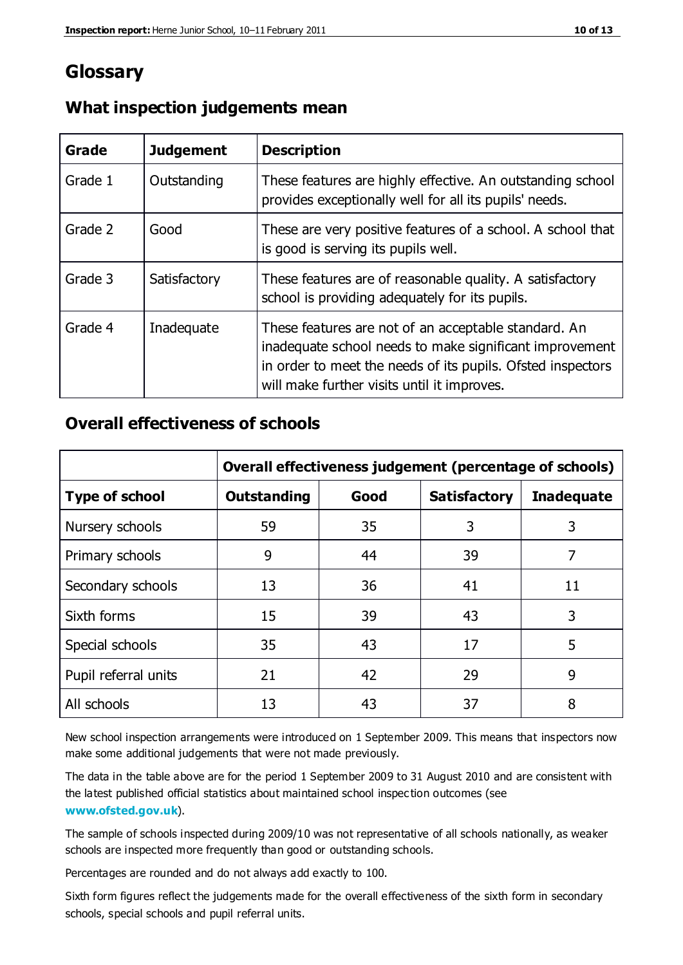### **Glossary**

| Grade   | <b>Judgement</b> | <b>Description</b>                                                                                                                                                                                                            |
|---------|------------------|-------------------------------------------------------------------------------------------------------------------------------------------------------------------------------------------------------------------------------|
| Grade 1 | Outstanding      | These features are highly effective. An outstanding school<br>provides exceptionally well for all its pupils' needs.                                                                                                          |
| Grade 2 | Good             | These are very positive features of a school. A school that<br>is good is serving its pupils well.                                                                                                                            |
| Grade 3 | Satisfactory     | These features are of reasonable quality. A satisfactory<br>school is providing adequately for its pupils.                                                                                                                    |
| Grade 4 | Inadequate       | These features are not of an acceptable standard. An<br>inadequate school needs to make significant improvement<br>in order to meet the needs of its pupils. Ofsted inspectors<br>will make further visits until it improves. |

#### **What inspection judgements mean**

#### **Overall effectiveness of schools**

|                       | Overall effectiveness judgement (percentage of schools) |      |                     |                   |
|-----------------------|---------------------------------------------------------|------|---------------------|-------------------|
| <b>Type of school</b> | <b>Outstanding</b>                                      | Good | <b>Satisfactory</b> | <b>Inadequate</b> |
| Nursery schools       | 59                                                      | 35   | 3                   | 3                 |
| Primary schools       | 9                                                       | 44   | 39                  | 7                 |
| Secondary schools     | 13                                                      | 36   | 41                  | 11                |
| Sixth forms           | 15                                                      | 39   | 43                  | 3                 |
| Special schools       | 35                                                      | 43   | 17                  | 5                 |
| Pupil referral units  | 21                                                      | 42   | 29                  | 9                 |
| All schools           | 13                                                      | 43   | 37                  | 8                 |

New school inspection arrangements were introduced on 1 September 2009. This means that inspectors now make some additional judgements that were not made previously.

The data in the table above are for the period 1 September 2009 to 31 August 2010 and are consistent with the latest published official statistics about maintained school inspec tion outcomes (see **[www.ofsted.gov.uk](http://www.ofsted.gov.uk/)**).

The sample of schools inspected during 2009/10 was not representative of all schools nationally, as weaker schools are inspected more frequently than good or outstanding schools.

Percentages are rounded and do not always add exactly to 100.

Sixth form figures reflect the judgements made for the overall effectiveness of the sixth form in secondary schools, special schools and pupil referral units.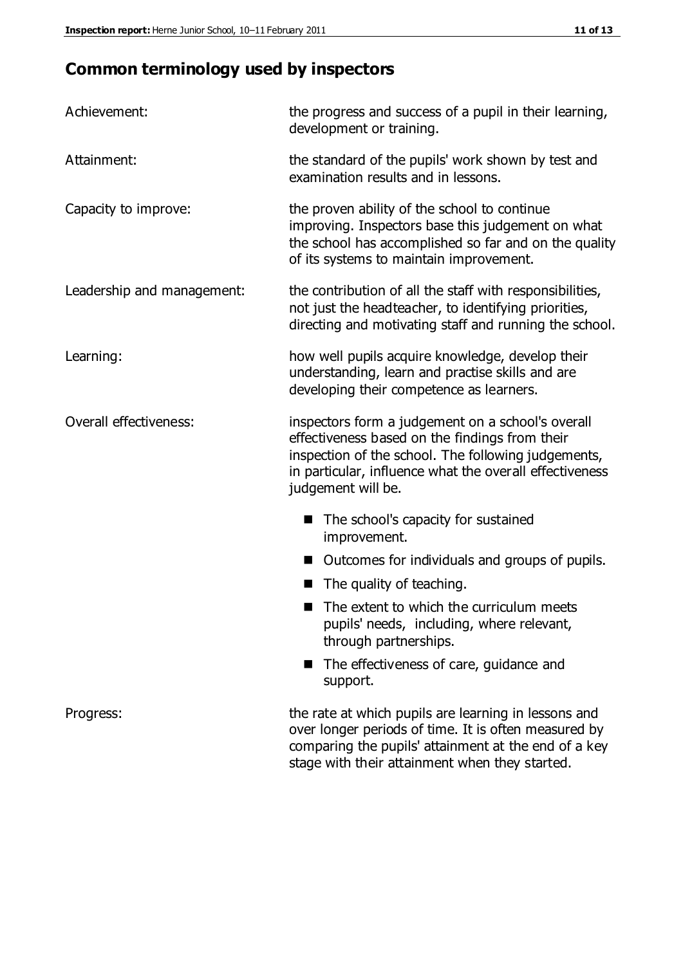### **Common terminology used by inspectors**

| Achievement:               | the progress and success of a pupil in their learning,<br>development or training.                                                                                                                                                          |  |  |
|----------------------------|---------------------------------------------------------------------------------------------------------------------------------------------------------------------------------------------------------------------------------------------|--|--|
| Attainment:                | the standard of the pupils' work shown by test and<br>examination results and in lessons.                                                                                                                                                   |  |  |
| Capacity to improve:       | the proven ability of the school to continue<br>improving. Inspectors base this judgement on what<br>the school has accomplished so far and on the quality<br>of its systems to maintain improvement.                                       |  |  |
| Leadership and management: | the contribution of all the staff with responsibilities,<br>not just the headteacher, to identifying priorities,<br>directing and motivating staff and running the school.                                                                  |  |  |
| Learning:                  | how well pupils acquire knowledge, develop their<br>understanding, learn and practise skills and are<br>developing their competence as learners.                                                                                            |  |  |
| Overall effectiveness:     | inspectors form a judgement on a school's overall<br>effectiveness based on the findings from their<br>inspection of the school. The following judgements,<br>in particular, influence what the overall effectiveness<br>judgement will be. |  |  |
|                            | The school's capacity for sustained<br>improvement.                                                                                                                                                                                         |  |  |
|                            | Outcomes for individuals and groups of pupils.                                                                                                                                                                                              |  |  |
|                            | The quality of teaching.                                                                                                                                                                                                                    |  |  |
|                            | The extent to which the curriculum meets<br>pupils' needs, including, where relevant,<br>through partnerships.                                                                                                                              |  |  |
|                            | The effectiveness of care, guidance and<br>support.                                                                                                                                                                                         |  |  |
| Progress:                  | the rate at which pupils are learning in lessons and<br>over longer periods of time. It is often measured by<br>comparing the pupils' attainment at the end of a key                                                                        |  |  |

stage with their attainment when they started.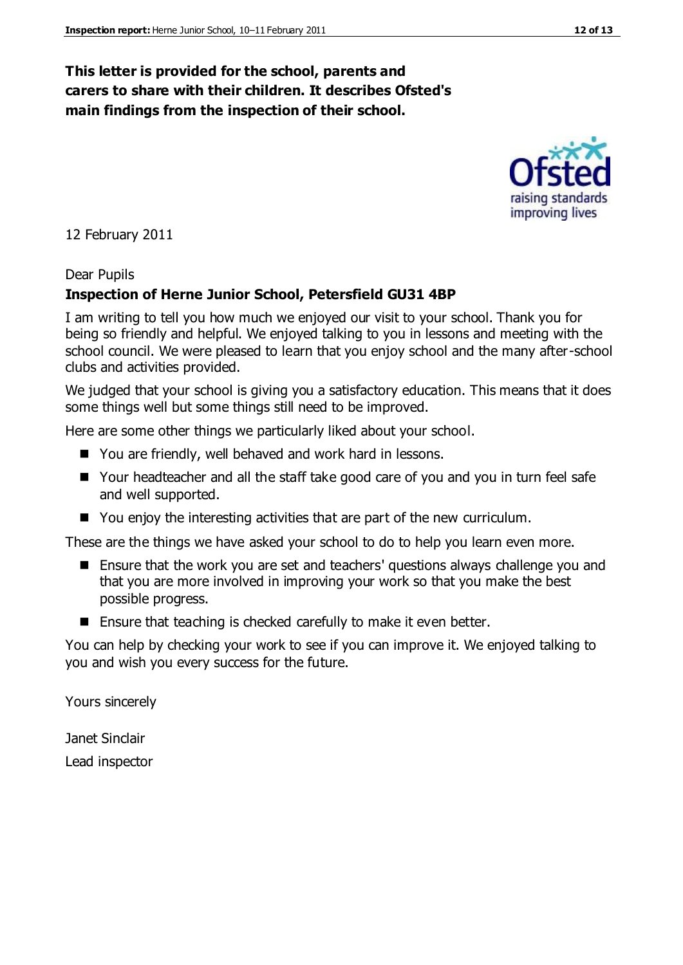#### **This letter is provided for the school, parents and carers to share with their children. It describes Ofsted's main findings from the inspection of their school.**

12 February 2011

#### Dear Pupils

#### **Inspection of Herne Junior School, Petersfield GU31 4BP**

I am writing to tell you how much we enjoyed our visit to your school. Thank you for being so friendly and helpful. We enjoyed talking to you in lessons and meeting with the school council. We were pleased to learn that you enjoy school and the many after-school clubs and activities provided.

We judged that your school is giving you a satisfactory education. This means that it does some things well but some things still need to be improved.

Here are some other things we particularly liked about your school.

- You are friendly, well behaved and work hard in lessons.
- Your headteacher and all the staff take good care of you and you in turn feel safe and well supported.
- You enjoy the interesting activities that are part of the new curriculum.

These are the things we have asked your school to do to help you learn even more.

- Ensure that the work you are set and teachers' questions always challenge you and that you are more involved in improving your work so that you make the best possible progress.
- Ensure that teaching is checked carefully to make it even better.

You can help by checking your work to see if you can improve it. We enjoyed talking to you and wish you every success for the future.

Yours sincerely

Janet Sinclair Lead inspector